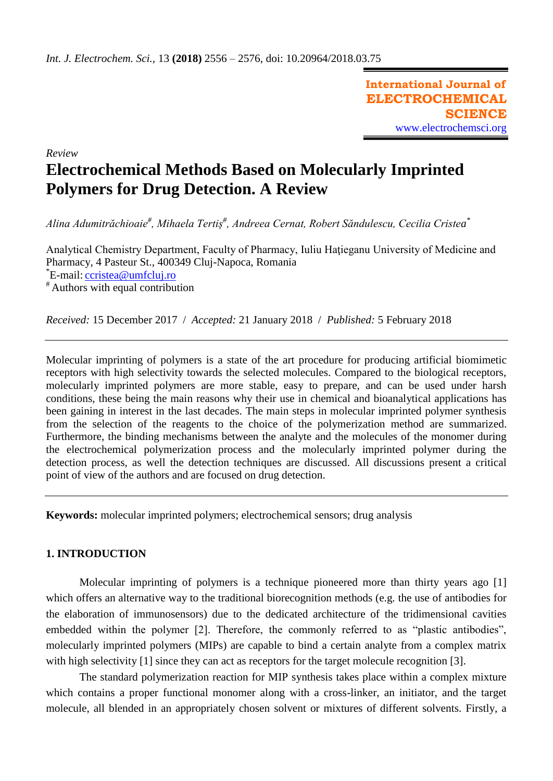**International Journal of ELECTROCHEMICAL SCIENCE** [www.electrochemsci.org](http://www.electrochemsci.org/)

# *Review* **Electrochemical Methods Based on Molecularly Imprinted Polymers for Drug Detection. A Review**

*Alina Adumitrăchioaie# , Mihaela Tertiș# , Andreea Cernat, Robert Săndulescu, Cecilia Cristea \**

Analytical Chemistry Department, Faculty of Pharmacy, Iuliu Hatieganu University of Medicine and Pharmacy, 4 Pasteur St., 400349 Cluj-Napoca, Romania \*E-mail: *[ccristea@umfcluj.ro](mailto:ccristea@umfcluj.ro)* # Authors with equal contribution

*Received:* 15 December 2017/ *Accepted:* 21 January 2018 / *Published:* 5 February 2018

Molecular imprinting of polymers is a state of the art procedure for producing artificial biomimetic receptors with high selectivity towards the selected molecules. Compared to the biological receptors, molecularly imprinted polymers are more stable, easy to prepare, and can be used under harsh conditions, these being the main reasons why their use in chemical and bioanalytical applications has been gaining in interest in the last decades. The main steps in molecular imprinted polymer synthesis from the selection of the reagents to the choice of the polymerization method are summarized. Furthermore, the binding mechanisms between the analyte and the molecules of the monomer during the electrochemical polymerization process and the molecularly imprinted polymer during the detection process, as well the detection techniques are discussed. All discussions present a critical point of view of the authors and are focused on drug detection.

**Keywords:** molecular imprinted polymers; electrochemical sensors; drug analysis

# **1. INTRODUCTION**

Molecular imprinting of polymers is a technique pioneered more than thirty years ago [1] which offers an alternative way to the traditional biorecognition methods (e.g. the use of antibodies for the elaboration of immunosensors) due to the dedicated architecture of the tridimensional cavities embedded within the polymer [2]. Therefore, the commonly referred to as "plastic antibodies", molecularly imprinted polymers (MIPs) are capable to bind a certain analyte from a complex matrix with high selectivity [1] since they can act as receptors for the target molecule recognition [3].

The standard polymerization reaction for MIP synthesis takes place within a complex mixture which contains a proper functional monomer along with a cross-linker, an initiator, and the target molecule, all blended in an appropriately chosen solvent or mixtures of different solvents. Firstly, a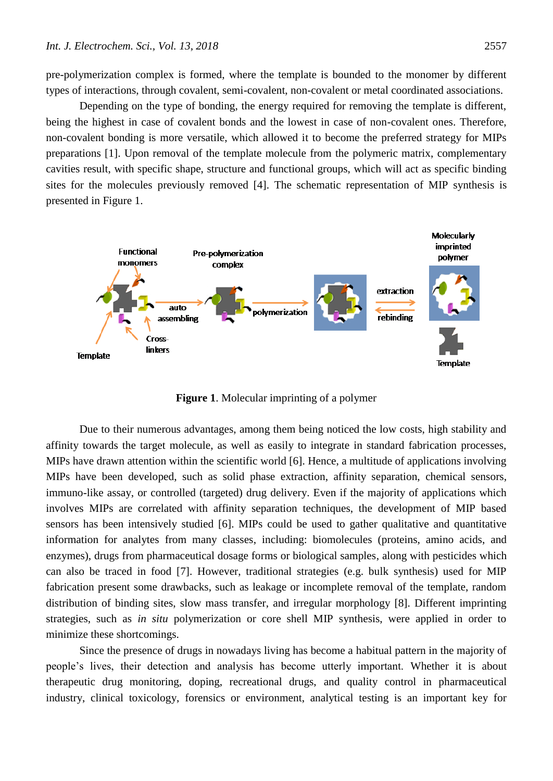pre-polymerization complex is formed, where the template is bounded to the monomer by different types of interactions, through covalent, semi-covalent, non-covalent or metal coordinated associations.

Depending on the type of bonding, the energy required for removing the template is different, being the highest in case of covalent bonds and the lowest in case of non-covalent ones. Therefore, non-covalent bonding is more versatile, which allowed it to become the preferred strategy for MIPs preparations [1]. Upon removal of the template molecule from the polymeric matrix, complementary cavities result, with specific shape, structure and functional groups, which will act as specific binding sites for the molecules previously removed [4]. The schematic representation of MIP synthesis is presented in Figure 1.



**Figure 1**. Molecular imprinting of a polymer

Due to their numerous advantages, among them being noticed the low costs, high stability and affinity towards the target molecule, as well as easily to integrate in standard fabrication processes, MIPs have drawn attention within the scientific world [6]. Hence, a multitude of applications involving MIPs have been developed, such as solid phase extraction, affinity separation, chemical sensors, immuno-like assay, or controlled (targeted) drug delivery. Even if the majority of applications which involves MIPs are correlated with affinity separation techniques, the development of MIP based sensors has been intensively studied [6]. MIPs could be used to gather qualitative and quantitative information for analytes from many classes, including: biomolecules (proteins, amino acids, and enzymes), drugs from pharmaceutical dosage forms or biological samples, along with pesticides which can also be traced in food [7]. However, traditional strategies (e.g. bulk synthesis) used for MIP fabrication present some drawbacks, such as leakage or incomplete removal of the template, random distribution of binding sites, slow mass transfer, and irregular morphology [8]. Different imprinting strategies, such as *in situ* polymerization or core shell MIP synthesis, were applied in order to minimize these shortcomings.

Since the presence of drugs in nowadays living has become a habitual pattern in the majority of people's lives, their detection and analysis has become utterly important. Whether it is about therapeutic drug monitoring, doping, recreational drugs, and quality control in pharmaceutical industry, clinical toxicology, forensics or environment, analytical testing is an important key for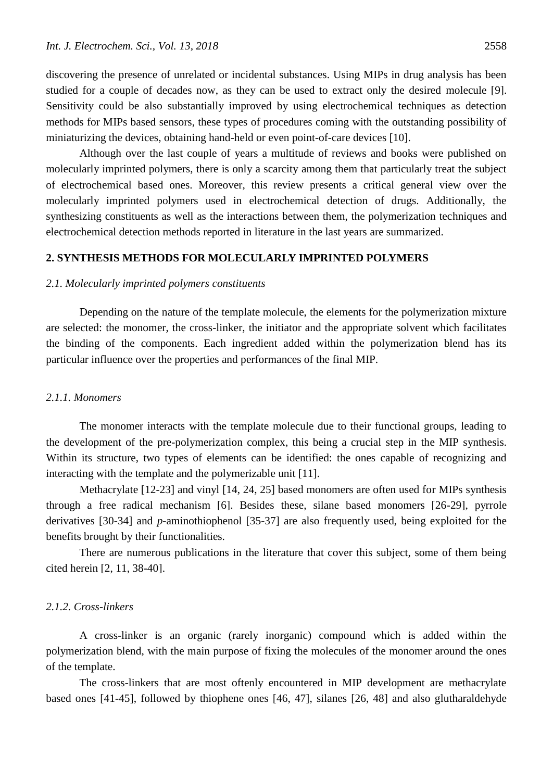discovering the presence of unrelated or incidental substances. Using MIPs in drug analysis has been studied for a couple of decades now, as they can be used to extract only the desired molecule [9]. Sensitivity could be also substantially improved by using electrochemical techniques as detection methods for MIPs based sensors, these types of procedures coming with the outstanding possibility of miniaturizing the devices, obtaining hand-held or even point-of-care devices [10].

Although over the last couple of years a multitude of reviews and books were published on molecularly imprinted polymers, there is only a scarcity among them that particularly treat the subject of electrochemical based ones. Moreover, this review presents a critical general view over the molecularly imprinted polymers used in electrochemical detection of drugs. Additionally, the synthesizing constituents as well as the interactions between them, the polymerization techniques and electrochemical detection methods reported in literature in the last years are summarized.

## **2. SYNTHESIS METHODS FOR MOLECULARLY IMPRINTED POLYMERS**

### *2.1. Molecularly imprinted polymers constituents*

Depending on the nature of the template molecule, the elements for the polymerization mixture are selected: the monomer, the cross-linker, the initiator and the appropriate solvent which facilitates the binding of the components. Each ingredient added within the polymerization blend has its particular influence over the properties and performances of the final MIP.

# *2.1.1. Monomers*

The monomer interacts with the template molecule due to their functional groups, leading to the development of the pre-polymerization complex, this being a crucial step in the MIP synthesis. Within its structure, two types of elements can be identified: the ones capable of recognizing and interacting with the template and the polymerizable unit [11].

Methacrylate [12-23] and vinyl [14, 24, 25] based monomers are often used for MIPs synthesis through a free radical mechanism [6]. Besides these, silane based monomers [26-29], pyrrole derivatives [30-34] and *p*-aminothiophenol [35-37] are also frequently used, being exploited for the benefits brought by their functionalities.

There are numerous publications in the literature that cover this subject, some of them being cited herein [2, 11, 38-40].

# *2.1.2. Cross-linkers*

A cross-linker is an organic (rarely inorganic) compound which is added within the polymerization blend, with the main purpose of fixing the molecules of the monomer around the ones of the template.

The cross-linkers that are most oftenly encountered in MIP development are methacrylate based ones [41-45], followed by thiophene ones [46, 47], silanes [26, 48] and also glutharaldehyde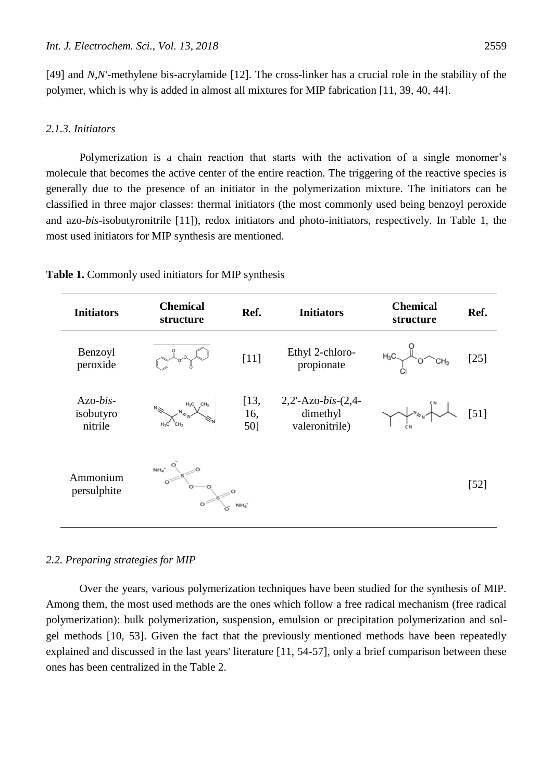[49] and *N,N'*-methylene bis-acrylamide [12]. The cross-linker has a crucial role in the stability of the polymer, which is why is added in almost all mixtures for MIP fabrication [11, 39, 40, 44].

# *2.1.3. Initiators*

Polymerization is a chain reaction that starts with the activation of a single monomer's molecule that becomes the active center of the entire reaction. The triggering of the reactive species is generally due to the presence of an initiator in the polymerization mixture. The initiators can be classified in three major classes: thermal initiators (the most commonly used being benzoyl peroxide and azo-*bis*-isobutyronitrile [11]), redox initiators and photo-initiators, respectively. In Table 1, the most used initiators for MIP synthesis are mentioned.

| <b>Initiators</b>                  | <b>Chemical</b><br>structure | Ref.               | <b>Initiators</b>                                      | <b>Chemical</b><br>structure | Ref.   |
|------------------------------------|------------------------------|--------------------|--------------------------------------------------------|------------------------------|--------|
| Benzoyl<br>peroxide                |                              | $[11]$             | Ethyl 2-chloro-<br>propionate                          | $H_3C$<br>$CH_3$             | $[25]$ |
| $Azo-bis-$<br>isobutyro<br>nitrile |                              | [13,<br>16,<br>50] | $2,2$ -Azo-bis- $(2,4$ -<br>dimethyl<br>valeronitrile) |                              | $[51]$ |
| Ammonium<br>persulphite            | NH <sub>4</sub>              |                    |                                                        |                              | $[52]$ |

**Table 1.** Commonly used initiators for MIP synthesis

## *2.2. Preparing strategies for MIP*

Over the years, various polymerization techniques have been studied for the synthesis of MIP. Among them, the most used methods are the ones which follow a free radical mechanism (free radical polymerization): bulk polymerization, suspension, emulsion or precipitation polymerization and solgel methods [10, 53]. Given the fact that the previously mentioned methods have been repeatedly explained and discussed in the last years' literature [11, 54-57], only a brief comparison between these ones has been centralized in the Table 2.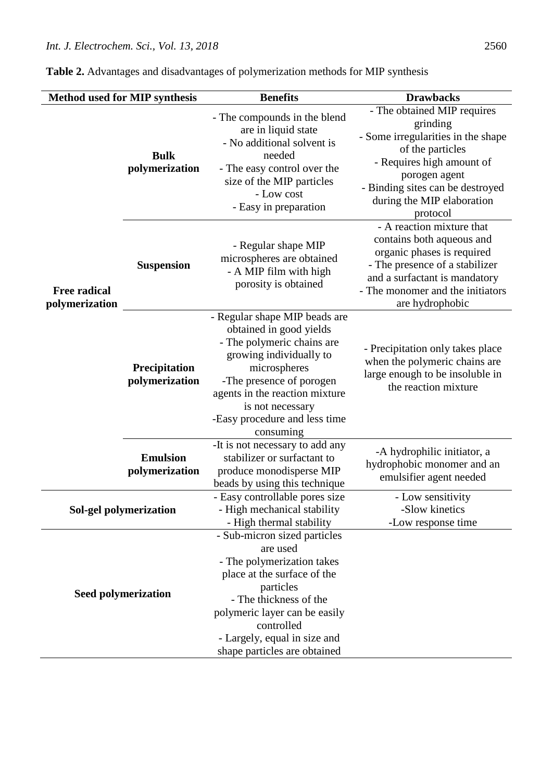| Method used for MIP synthesis         |                                   | <b>Benefits</b>                                                                                                                                                                                                                                                   | <b>Drawbacks</b>                                                                                                                                                                                                              |  |  |
|---------------------------------------|-----------------------------------|-------------------------------------------------------------------------------------------------------------------------------------------------------------------------------------------------------------------------------------------------------------------|-------------------------------------------------------------------------------------------------------------------------------------------------------------------------------------------------------------------------------|--|--|
| <b>Free radical</b><br>polymerization | <b>Bulk</b><br>polymerization     | - The compounds in the blend<br>are in liquid state<br>- No additional solvent is<br>needed<br>- The easy control over the<br>size of the MIP particles<br>- Low cost<br>- Easy in preparation                                                                    | - The obtained MIP requires<br>grinding<br>- Some irregularities in the shape<br>of the particles<br>- Requires high amount of<br>porogen agent<br>- Binding sites can be destroyed<br>during the MIP elaboration<br>protocol |  |  |
|                                       | <b>Suspension</b>                 | - Regular shape MIP<br>microspheres are obtained<br>- A MIP film with high<br>porosity is obtained                                                                                                                                                                | - A reaction mixture that<br>contains both aqueous and<br>organic phases is required<br>- The presence of a stabilizer<br>and a surfactant is mandatory<br>- The monomer and the initiators<br>are hydrophobic                |  |  |
|                                       | Precipitation<br>polymerization   | - Regular shape MIP beads are<br>obtained in good yields<br>- The polymeric chains are<br>growing individually to<br>microspheres<br>-The presence of porogen<br>agents in the reaction mixture<br>is not necessary<br>-Easy procedure and less time<br>consuming | - Precipitation only takes place<br>when the polymeric chains are<br>large enough to be insoluble in<br>the reaction mixture                                                                                                  |  |  |
|                                       | <b>Emulsion</b><br>polymerization | -It is not necessary to add any<br>stabilizer or surfactant to<br>produce monodisperse MIP<br>beads by using this technique                                                                                                                                       | -A hydrophilic initiator, a<br>hydrophobic monomer and an<br>emulsifier agent needed                                                                                                                                          |  |  |
| Sol-gel polymerization                |                                   | - Easy controllable pores size<br>- High mechanical stability<br>- High thermal stability                                                                                                                                                                         | - Low sensitivity<br>-Slow kinetics<br>-Low response time                                                                                                                                                                     |  |  |
| <b>Seed polymerization</b>            |                                   | - Sub-micron sized particles<br>are used<br>- The polymerization takes<br>place at the surface of the<br>particles<br>- The thickness of the<br>polymeric layer can be easily<br>controlled<br>- Largely, equal in size and<br>shape particles are obtained       |                                                                                                                                                                                                                               |  |  |

**Table 2.** Advantages and disadvantages of polymerization methods for MIP synthesis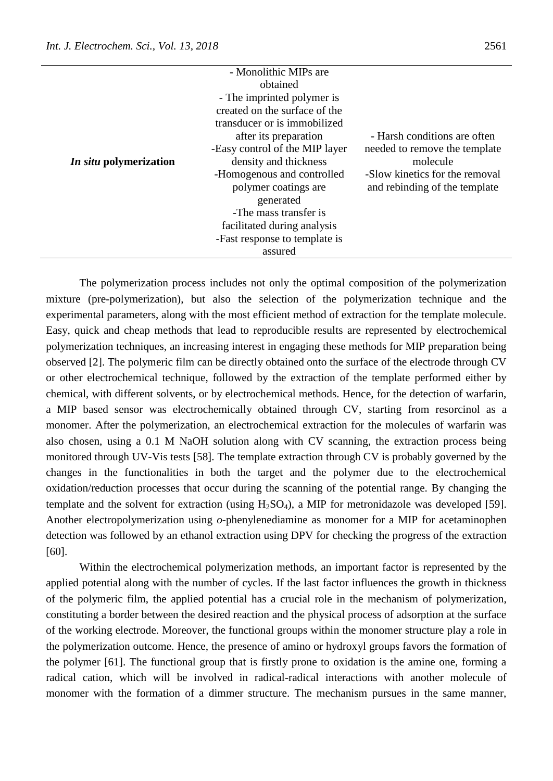|                               | - Monolithic MIPs are          |                                |
|-------------------------------|--------------------------------|--------------------------------|
|                               | obtained                       |                                |
|                               | - The imprinted polymer is     |                                |
|                               | created on the surface of the  |                                |
|                               | transducer or is immobilized   |                                |
|                               | after its preparation          | - Harsh conditions are often   |
|                               | -Easy control of the MIP layer | needed to remove the template  |
| <i>In situ</i> polymerization | density and thickness          | molecule                       |
|                               | -Homogenous and controlled     | -Slow kinetics for the removal |
|                               | polymer coatings are           | and rebinding of the template  |
|                               | generated                      |                                |
|                               | -The mass transfer is          |                                |
|                               | facilitated during analysis    |                                |
|                               | -Fast response to template is  |                                |
|                               | assured                        |                                |

The polymerization process includes not only the optimal composition of the polymerization mixture (pre-polymerization), but also the selection of the polymerization technique and the experimental parameters, along with the most efficient method of extraction for the template molecule. Easy, quick and cheap methods that lead to reproducible results are represented by electrochemical polymerization techniques, an increasing interest in engaging these methods for MIP preparation being observed [2]. The polymeric film can be directly obtained onto the surface of the electrode through CV or other electrochemical technique, followed by the extraction of the template performed either by chemical, with different solvents, or by electrochemical methods. Hence, for the detection of warfarin, a MIP based sensor was electrochemically obtained through CV, starting from resorcinol as a monomer. After the polymerization, an electrochemical extraction for the molecules of warfarin was also chosen, using a 0.1 M NaOH solution along with CV scanning, the extraction process being monitored through UV-Vis tests [58]. The template extraction through CV is probably governed by the changes in the functionalities in both the target and the polymer due to the electrochemical oxidation/reduction processes that occur during the scanning of the potential range. By changing the template and the solvent for extraction (using  $H_2SO_4$ ), a MIP for metronidazole was developed [59]. Another electropolymerization using *o*-phenylenediamine as monomer for a MIP for acetaminophen detection was followed by an ethanol extraction using DPV for checking the progress of the extraction [60].

Within the electrochemical polymerization methods, an important factor is represented by the applied potential along with the number of cycles. If the last factor influences the growth in thickness of the polymeric film, the applied potential has a crucial role in the mechanism of polymerization, constituting a border between the desired reaction and the physical process of adsorption at the surface of the working electrode. Moreover, the functional groups within the monomer structure play a role in the polymerization outcome. Hence, the presence of amino or hydroxyl groups favors the formation of the polymer [61]. The functional group that is firstly prone to oxidation is the amine one, forming a radical cation, which will be involved in radical-radical interactions with another molecule of monomer with the formation of a dimmer structure. The mechanism pursues in the same manner,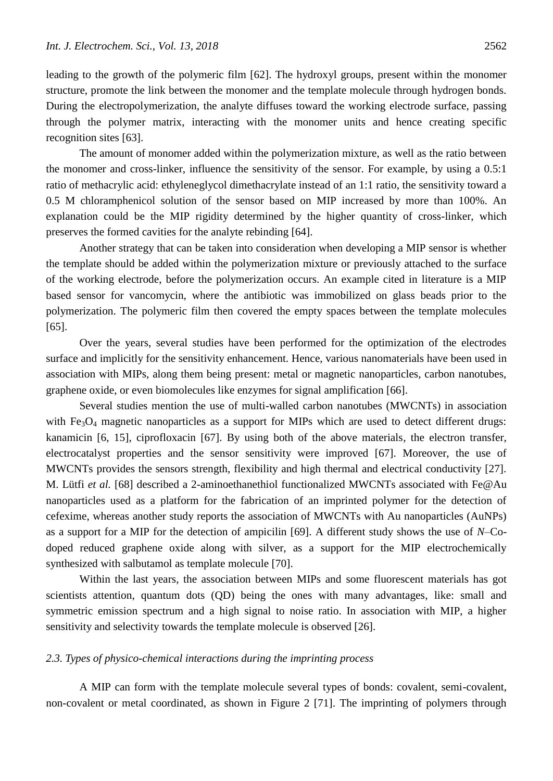leading to the growth of the polymeric film [62]. The hydroxyl groups, present within the monomer structure, promote the link between the monomer and the template molecule through hydrogen bonds. During the electropolymerization, the analyte diffuses toward the working electrode surface, passing through the polymer matrix, interacting with the monomer units and hence creating specific recognition sites [63].

The amount of monomer added within the polymerization mixture, as well as the ratio between the monomer and cross-linker, influence the sensitivity of the sensor. For example, by using a 0.5:1 ratio of methacrylic acid: ethyleneglycol dimethacrylate instead of an 1:1 ratio, the sensitivity toward a 0.5 M chloramphenicol solution of the sensor based on MIP increased by more than 100%. An explanation could be the MIP rigidity determined by the higher quantity of cross-linker, which preserves the formed cavities for the analyte rebinding [64].

Another strategy that can be taken into consideration when developing a MIP sensor is whether the template should be added within the polymerization mixture or previously attached to the surface of the working electrode, before the polymerization occurs. An example cited in literature is a MIP based sensor for vancomycin, where the antibiotic was immobilized on glass beads prior to the polymerization. The polymeric film then covered the empty spaces between the template molecules [65].

Over the years, several studies have been performed for the optimization of the electrodes surface and implicitly for the sensitivity enhancement. Hence, various nanomaterials have been used in association with MIPs, along them being present: metal or magnetic nanoparticles, carbon nanotubes, graphene oxide, or even biomolecules like enzymes for signal amplification [66].

Several studies mention the use of multi-walled carbon nanotubes (MWCNTs) in association with  $Fe<sub>3</sub>O<sub>4</sub>$  magnetic nanoparticles as a support for MIPs which are used to detect different drugs: kanamicin [6, 15], ciprofloxacin [67]. By using both of the above materials, the electron transfer, electrocatalyst properties and the sensor sensitivity were improved [67]. Moreover, the use of MWCNTs provides the sensors strength, flexibility and high thermal and electrical conductivity [27]. M. Lütfi *et al.* [68] described a 2-aminoethanethiol functionalized MWCNTs associated with Fe@Au nanoparticles used as a platform for the fabrication of an imprinted polymer for the detection of cefexime, whereas another study reports the association of MWCNTs with Au nanoparticles (AuNPs) as a support for a MIP for the detection of ampicilin [69]. A different study shows the use of *N*–Codoped reduced graphene oxide along with silver, as a support for the MIP electrochemically synthesized with salbutamol as template molecule [70].

Within the last years, the association between MIPs and some fluorescent materials has got scientists attention, quantum dots (QD) being the ones with many advantages, like: small and symmetric emission spectrum and a high signal to noise ratio. In association with MIP, a higher sensitivity and selectivity towards the template molecule is observed [26].

# *2.3. Types of physico-chemical interactions during the imprinting process*

A MIP can form with the template molecule several types of bonds: covalent, semi-covalent, non-covalent or metal coordinated, as shown in Figure 2 [71]. The imprinting of polymers through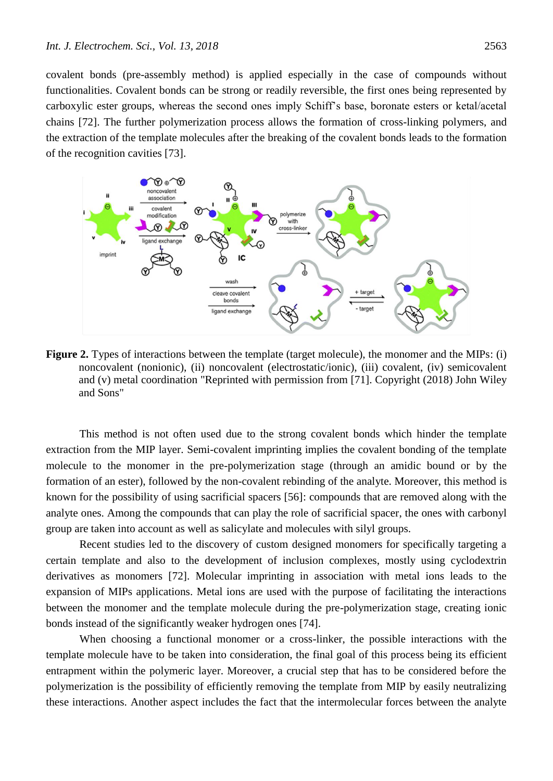covalent bonds (pre-assembly method) is applied especially in the case of compounds without functionalities. Covalent bonds can be strong or readily reversible, the first ones being represented by carboxylic ester groups, whereas the second ones imply Schiff's base, boronate esters or ketal/acetal chains [72]. The further polymerization process allows the formation of cross-linking polymers, and the extraction of the template molecules after the breaking of the covalent bonds leads to the formation of the recognition cavities [73].



**Figure 2.** Types of interactions between the template (target molecule), the monomer and the MIPs: (i) noncovalent (nonionic), (ii) noncovalent (electrostatic/ionic), (iii) covalent, (iv) semicovalent and (v) metal coordination "Reprinted with permission from [71]. Copyright (2018) John Wiley and Sons"

This method is not often used due to the strong covalent bonds which hinder the template extraction from the MIP layer. Semi-covalent imprinting implies the covalent bonding of the template molecule to the monomer in the pre-polymerization stage (through an amidic bound or by the formation of an ester), followed by the non-covalent rebinding of the analyte. Moreover, this method is known for the possibility of using sacrificial spacers [56]: compounds that are removed along with the analyte ones. Among the compounds that can play the role of sacrificial spacer, the ones with carbonyl group are taken into account as well as salicylate and molecules with silyl groups.

Recent studies led to the discovery of custom designed monomers for specifically targeting a certain template and also to the development of inclusion complexes, mostly using cyclodextrin derivatives as monomers [72]. Molecular imprinting in association with metal ions leads to the expansion of MIPs applications. Metal ions are used with the purpose of facilitating the interactions between the monomer and the template molecule during the pre-polymerization stage, creating ionic bonds instead of the significantly weaker hydrogen ones [74].

When choosing a functional monomer or a cross-linker, the possible interactions with the template molecule have to be taken into consideration, the final goal of this process being its efficient entrapment within the polymeric layer. Moreover, a crucial step that has to be considered before the polymerization is the possibility of efficiently removing the template from MIP by easily neutralizing these interactions. Another aspect includes the fact that the intermolecular forces between the analyte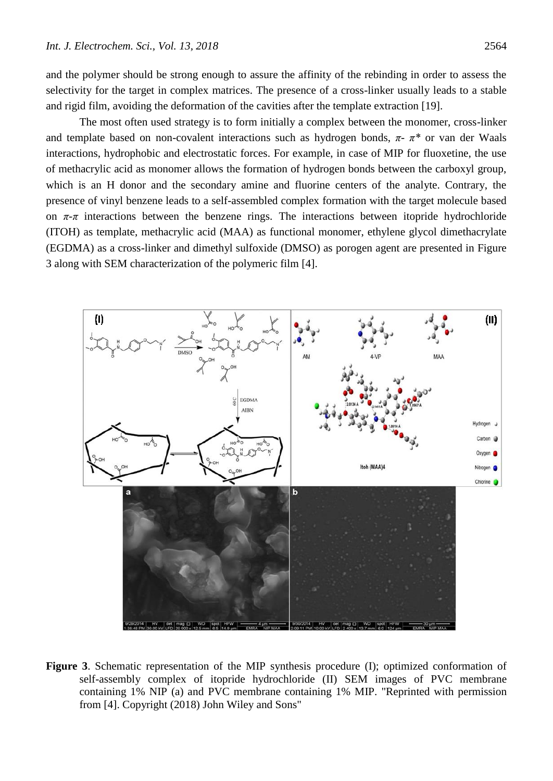and the polymer should be strong enough to assure the affinity of the rebinding in order to assess the selectivity for the target in complex matrices. The presence of a cross-linker usually leads to a stable and rigid film, avoiding the deformation of the cavities after the template extraction [19].

The most often used strategy is to form initially a complex between the monomer, cross-linker and template based on non-covalent interactions such as hydrogen bonds, *π- π\** or van der Waals interactions, hydrophobic and electrostatic forces. For example, in case of MIP for fluoxetine, the use of methacrylic acid as monomer allows the formation of hydrogen bonds between the carboxyl group, which is an H donor and the secondary amine and fluorine centers of the analyte. Contrary, the presence of vinyl benzene leads to a self-assembled complex formation with the target molecule based on  $\pi$ - $\pi$  interactions between the benzene rings. The interactions between itopride hydrochloride (ITOH) as template, methacrylic acid (MAA) as functional monomer, ethylene glycol dimethacrylate (EGDMA) as a cross-linker and dimethyl sulfoxide (DMSO) as porogen agent are presented in Figure 3 along with SEM characterization of the polymeric film [4].



**Figure 3**. Schematic representation of the MIP synthesis procedure (I); optimized conformation of self-assembly complex of itopride hydrochloride (II) SEM images of PVC membrane containing 1% NIP (a) and PVC membrane containing 1% MIP. "Reprinted with permission from [4]. Copyright (2018) John Wiley and Sons"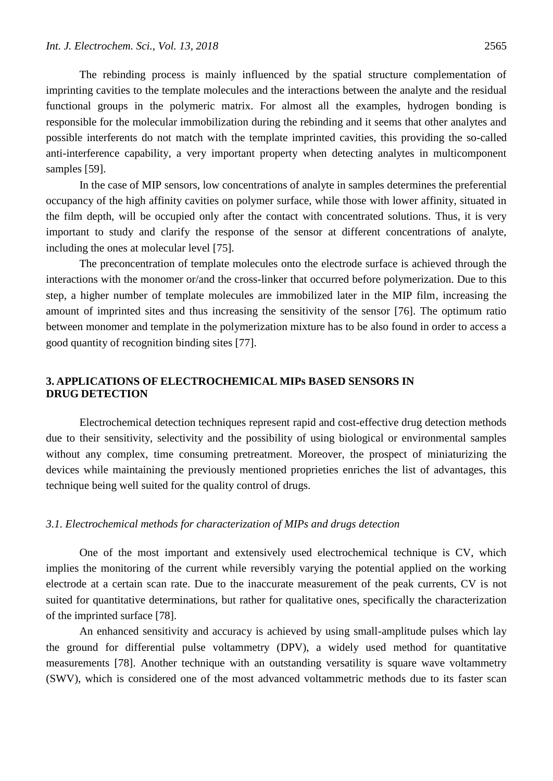The rebinding process is mainly influenced by the spatial structure complementation of imprinting cavities to the template molecules and the interactions between the analyte and the residual functional groups in the polymeric matrix. For almost all the examples, hydrogen bonding is responsible for the molecular immobilization during the rebinding and it seems that other analytes and possible interferents do not match with the template imprinted cavities, this providing the so-called anti-interference capability, a very important property when detecting analytes in multicomponent samples [59].

In the case of MIP sensors, low concentrations of analyte in samples determines the preferential occupancy of the high affinity cavities on polymer surface, while those with lower affinity, situated in the film depth, will be occupied only after the contact with concentrated solutions. Thus, it is very important to study and clarify the response of the sensor at different concentrations of analyte, including the ones at molecular level [75].

The preconcentration of template molecules onto the electrode surface is achieved through the interactions with the monomer or/and the cross-linker that occurred before polymerization. Due to this step, a higher number of template molecules are immobilized later in the MIP film, increasing the amount of imprinted sites and thus increasing the sensitivity of the sensor [76]. The optimum ratio between monomer and template in the polymerization mixture has to be also found in order to access a good quantity of recognition binding sites [77].

# **3. APPLICATIONS OF ELECTROCHEMICAL MIPs BASED SENSORS IN DRUG DETECTION**

Electrochemical detection techniques represent rapid and cost-effective drug detection methods due to their sensitivity, selectivity and the possibility of using biological or environmental samples without any complex, time consuming pretreatment. Moreover, the prospect of miniaturizing the devices while maintaining the previously mentioned proprieties enriches the list of advantages, this technique being well suited for the quality control of drugs.

# *3.1. Electrochemical methods for characterization of MIPs and drugs detection*

One of the most important and extensively used electrochemical technique is CV, which implies the monitoring of the current while reversibly varying the potential applied on the working electrode at a certain scan rate. Due to the inaccurate measurement of the peak currents, CV is not suited for quantitative determinations, but rather for qualitative ones, specifically the characterization of the imprinted surface [78].

An enhanced sensitivity and accuracy is achieved by using small-amplitude pulses which lay the ground for differential pulse voltammetry (DPV), a widely used method for quantitative measurements [78]. Another technique with an outstanding versatility is square wave voltammetry (SWV), which is considered one of the most advanced voltammetric methods due to its faster scan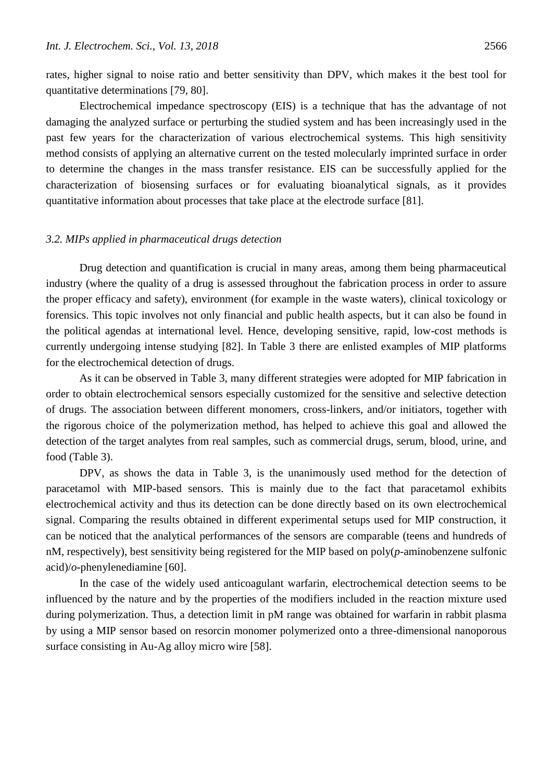rates, higher signal to noise ratio and better sensitivity than DPV, which makes it the best tool for quantitative determinations [79, 80].

Electrochemical impedance spectroscopy (EIS) is a technique that has the advantage of not damaging the analyzed surface or perturbing the studied system and has been increasingly used in the past few years for the characterization of various electrochemical systems. This high sensitivity method consists of applying an alternative current on the tested molecularly imprinted surface in order to determine the changes in the mass transfer resistance. EIS can be successfully applied for the characterization of biosensing surfaces or for evaluating bioanalytical signals, as it provides quantitative information about processes that take place at the electrode surface [81].

# *3.2. MIPs applied in pharmaceutical drugs detection*

Drug detection and quantification is crucial in many areas, among them being pharmaceutical industry (where the quality of a drug is assessed throughout the fabrication process in order to assure the proper efficacy and safety), environment (for example in the waste waters), clinical toxicology or forensics. This topic involves not only financial and public health aspects, but it can also be found in the political agendas at international level. Hence, developing sensitive, rapid, low-cost methods is currently undergoing intense studying [82]. In Table 3 there are enlisted examples of MIP platforms for the electrochemical detection of drugs.

As it can be observed in Table 3, many different strategies were adopted for MIP fabrication in order to obtain electrochemical sensors especially customized for the sensitive and selective detection of drugs. The association between different monomers, cross-linkers, and/or initiators, together with the rigorous choice of the polymerization method, has helped to achieve this goal and allowed the detection of the target analytes from real samples, such as commercial drugs, serum, blood, urine, and food (Table 3).

DPV, as shows the data in Table 3, is the unanimously used method for the detection of paracetamol with MIP-based sensors. This is mainly due to the fact that paracetamol exhibits electrochemical activity and thus its detection can be done directly based on its own electrochemical signal. Comparing the results obtained in different experimental setups used for MIP construction, it can be noticed that the analytical performances of the sensors are comparable (teens and hundreds of nM, respectively), best sensitivity being registered for the MIP based on poly(*p*-aminobenzene sulfonic acid)/*o*-phenylenediamine [60].

In the case of the widely used anticoagulant warfarin, electrochemical detection seems to be influenced by the nature and by the properties of the modifiers included in the reaction mixture used during polymerization. Thus, a detection limit in pM range was obtained for warfarin in rabbit plasma by using a MIP sensor based on resorcin monomer polymerized onto a three-dimensional nanoporous surface consisting in Au-Ag alloy micro wire [58].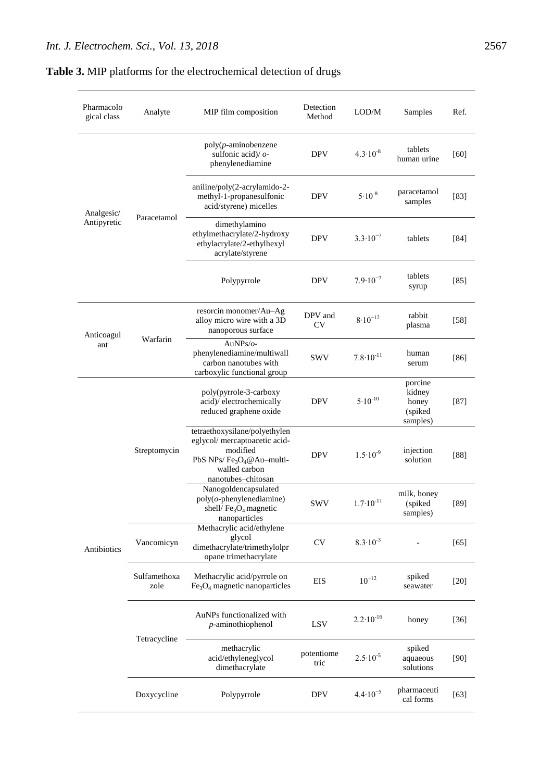| Pharmacolo<br>gical class | Analyte              | MIP film composition                                                                                                                            | Detection<br>Method | LOD/M                | Samples                                           | Ref.   |
|---------------------------|----------------------|-------------------------------------------------------------------------------------------------------------------------------------------------|---------------------|----------------------|---------------------------------------------------|--------|
| Analgesic/<br>Antipyretic | Paracetamol          | $poly(p$ -aminobenzene<br>sulfonic acid)/ $o$ -<br>phenylenediamine                                                                             | <b>DPV</b>          | $4.3 \cdot 10^{-8}$  | tablets<br>human urine                            | [60]   |
|                           |                      | aniline/poly(2-acrylamido-2-<br>methyl-1-propanesulfonic<br>acid/styrene) micelles                                                              | <b>DPV</b>          | $5.10^{-8}$          | paracetamol<br>samples                            | $[83]$ |
|                           |                      | dimethylamino<br>ethylmethacrylate/2-hydroxy<br>ethylacrylate/2-ethylhexyl<br>acrylate/styrene                                                  | <b>DPV</b>          | $3.3 \cdot 10^{-7}$  | tablets                                           | [84]   |
|                           |                      | Polypyrrole                                                                                                                                     | <b>DPV</b>          | $7.9 \cdot 10^{-7}$  | tablets<br>syrup                                  | $[85]$ |
| Anticoagul<br>ant         | Warfarin             | resorcin monomer/Au-Ag<br>alloy micro wire with a 3D<br>nanoporous surface                                                                      | DPV and<br>CV       | $8.10^{-12}$         | rabbit<br>plasma                                  | $[58]$ |
|                           |                      | AuNPs/ $o$ -<br>phenylenediamine/multiwall<br>carbon nanotubes with<br>carboxylic functional group                                              | <b>SWV</b>          | $7.8 \cdot 10^{-11}$ | human<br>serum                                    | $[86]$ |
| Antibiotics               | Streptomycin         | poly(pyrrole-3-carboxy<br>acid)/ electrochemically<br>reduced graphene oxide                                                                    | <b>DPV</b>          | $5.10^{-10}$         | porcine<br>kidney<br>honey<br>(spiked<br>samples) | $[87]$ |
|                           |                      | tetraethoxysilane/polyethylen<br>eglycol/ mercaptoacetic acid-<br>modified<br>PbS NPs/ $Fe3O4@Au–multi-$<br>walled carbon<br>nanotubes-chitosan | <b>DPV</b>          | $1.5 \cdot 10^{-9}$  | injection<br>solution                             | [88]   |
|                           |                      | Nanogoldencapsulated<br>$poly(o$ -phenylenediamine)<br>shell/Fe <sub>3</sub> O <sub>4</sub> magnetic<br>nanoparticles                           | <b>SWV</b>          | $1.7 \cdot 10^{-11}$ | milk, honey<br>(spiked<br>samples)                | $[89]$ |
|                           | Vancomicyn           | Methacrylic acid/ethylene<br>glycol<br>dimethacrylate/trimethylolpr<br>opane trimethacrylate                                                    | <b>CV</b>           | $8.3 \cdot 10^{-3}$  |                                                   | $[65]$ |
|                           | Sulfamethoxa<br>zole | Methacrylic acid/pyrrole on<br>$Fe3O4$ magnetic nanoparticles                                                                                   | <b>EIS</b>          | $10^{-12}$           | spiked<br>seawater                                | $[20]$ |
|                           | Tetracycline         | AuNPs functionalized with<br>$p$ -aminothiophenol                                                                                               | <b>LSV</b>          | $2.2 \cdot 10^{-16}$ | honey                                             | $[36]$ |
|                           |                      | methacrylic<br>acid/ethyleneglycol<br>dimethacrylate                                                                                            | potentiome<br>tric  | $2.5 \cdot 10^{-5}$  | spiked<br>aquaeous<br>solutions                   | $[90]$ |
|                           | Doxycycline          | Polypyrrole                                                                                                                                     | <b>DPV</b>          | $4.4 \cdot 10^{-5}$  | pharmaceuti<br>cal forms                          | $[63]$ |

# **Table 3.** MIP platforms for the electrochemical detection of drugs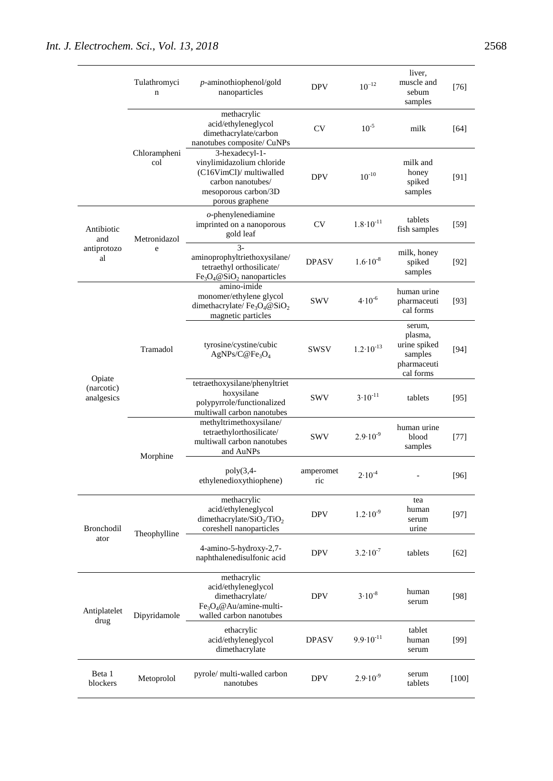|                                    | Tulathromyci<br>n   | $p$ -aminothiophenol/gold<br>nanoparticles                                                                                             | <b>DPV</b>       | $10^{-12}$           | liver,<br>muscle and<br>sebum<br>samples                                 | [76]    |
|------------------------------------|---------------------|----------------------------------------------------------------------------------------------------------------------------------------|------------------|----------------------|--------------------------------------------------------------------------|---------|
|                                    |                     | methacrylic<br>acid/ethyleneglycol<br>dimethacrylate/carbon<br>nanotubes composite/ CuNPs                                              | <b>CV</b>        | $10^{-5}$            | milk                                                                     | [64]    |
|                                    | Chlorampheni<br>col | 3-hexadecyl-1-<br>vinylimidazolium chloride<br>(C16VimCl)/ multiwalled<br>carbon nanotubes/<br>mesoporous carbon/3D<br>porous graphene | <b>DPV</b>       | $10^{-10}$           | milk and<br>honey<br>spiked<br>samples                                   | [91]    |
| Antibiotic<br>and                  | Metronidazol<br>e   | $o$ -phenylenediamine<br>imprinted on a nanoporous<br>gold leaf                                                                        | CV               | $1.8 \cdot 10^{-11}$ | tablets<br>fish samples                                                  | $[59]$  |
| antiprotozo<br>al                  |                     | $\overline{3}$ -<br>aminoprophyltriethoxysilane/<br>tetraethyl orthosilicate/<br>$Fe3O4 @ SiO2 nanoparticles$                          | <b>DPASV</b>     | $1.6 \cdot 10^{-8}$  | milk, honey<br>spiked<br>samples                                         | $[92]$  |
| Opiate<br>(narcotic)<br>analgesics | Tramadol            | amino-imide<br>monomer/ethylene glycol<br>dimethacrylate/ $Fe3O4@SiO2$<br>magnetic particles                                           | <b>SWV</b>       | $4.10^{-6}$          | human urine<br>pharmaceuti<br>cal forms                                  | $[93]$  |
|                                    |                     | tyrosine/cystine/cubic<br>$AgNPs/C@Fe_3O_4$                                                                                            | <b>SWSV</b>      | $1.2 \cdot 10^{-13}$ | serum,<br>plasma,<br>urine spiked<br>samples<br>pharmaceuti<br>cal forms | [94]    |
|                                    |                     | tetraethoxysilane/phenyltriet<br>hoxysilane<br>polypyrrole/functionalized<br>multiwall carbon nanotubes                                | <b>SWV</b>       | $3.10^{-11}$         | tablets                                                                  | [95]    |
|                                    | Morphine            | methyltrimethoxysilane/<br>tetraethylorthosilicate/<br>multiwall carbon nanotubes<br>and AuNPs                                         | <b>SWV</b>       | $2.9 \cdot 10^{-9}$  | human urine<br>blood<br>samples                                          | $[77]$  |
|                                    |                     | $poly(3,4-$<br>ethylenedioxythiophene)                                                                                                 | amperomet<br>ric | $2.10^{-4}$          |                                                                          | $[96]$  |
| Bronchodil                         | Theophylline        | methacrylic<br>acid/ethyleneglycol<br>dimethacrylate/ $SiO2/TiO2$<br>coreshell nanoparticles                                           | <b>DPV</b>       | $1.2 \cdot 10^{-9}$  | tea<br>human<br>serum<br>urine                                           | $[97]$  |
| ator                               |                     | 4-amino-5-hydroxy-2,7-<br>naphthalenedisulfonic acid                                                                                   | <b>DPV</b>       | $3.2 \cdot 10^{-7}$  | tablets                                                                  | $[62]$  |
| Antiplatelet<br>drug               | Dipyridamole        | methacrylic<br>acid/ethyleneglycol<br>dimethacrylate/<br>$Fe3O4@Au/amine-multi-$<br>walled carbon nanotubes                            | <b>DPV</b>       | $3 \cdot 10^{-8}$    | human<br>serum                                                           | $[98]$  |
|                                    |                     | ethacrylic<br>acid/ethyleneglycol<br>dimethacrylate                                                                                    | <b>DPASV</b>     | $9.9 \cdot 10^{-11}$ | tablet<br>human<br>serum                                                 | $[99]$  |
| Beta 1<br>blockers                 | Metoprolol          | pyrole/ multi-walled carbon<br>nanotubes                                                                                               | <b>DPV</b>       | $2.9 \cdot 10^{-9}$  | serum<br>tablets                                                         | $[100]$ |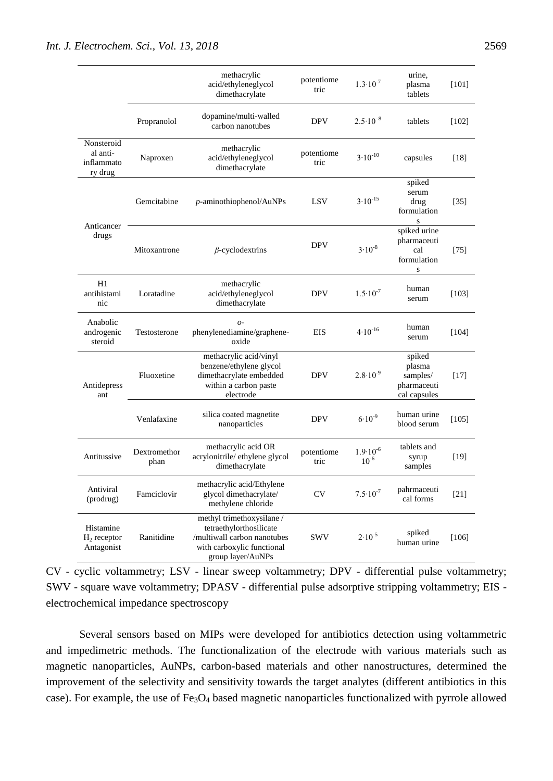|                                                 |                      | methacrylic<br>acid/ethyleneglycol<br>dimethacrylate                                                                                   | potentiome<br>tric | $1.3 \cdot 10^{-7}$              | urine,<br>plasma<br>tablets                                 | $[101]$           |
|-------------------------------------------------|----------------------|----------------------------------------------------------------------------------------------------------------------------------------|--------------------|----------------------------------|-------------------------------------------------------------|-------------------|
|                                                 | Propranolol          | dopamine/multi-walled<br>carbon nanotubes                                                                                              | <b>DPV</b>         | $2.5 \cdot 10^{-8}$              | tablets                                                     | [102]             |
| Nonsteroid<br>al anti-<br>inflammato<br>ry drug | Naproxen             | methacrylic<br>acid/ethyleneglycol<br>dimethacrylate                                                                                   | potentiome<br>tric | $3.10^{-10}$                     | capsules                                                    | [18]              |
| Anticancer<br>drugs                             | Gemcitabine          | $p$ -aminothiophenol/AuNPs                                                                                                             | <b>LSV</b>         | $3.10^{-15}$                     | spiked<br>serum<br>drug<br>formulation<br>S                 | $\left[35\right]$ |
|                                                 | Mitoxantrone         | $\beta$ -cyclodextrins                                                                                                                 | <b>DPV</b>         | $3.10^{-8}$                      | spiked urine<br>pharmaceuti<br>cal<br>formulation<br>S      | [75]              |
| H1<br>antihistami<br>nic                        | Loratadine           | methacrylic<br>acid/ethyleneglycol<br>dimethacrylate                                                                                   | <b>DPV</b>         | $1.5 \cdot 10^{-7}$              | human<br>serum                                              | [103]             |
| Anabolic<br>androgenic<br>steroid               | Testosterone         | $O -$<br>phenylenediamine/graphene-<br>oxide                                                                                           | <b>EIS</b>         | $4.10^{-16}$                     | human<br>serum                                              | [104]             |
| Antidepress<br>ant                              | Fluoxetine           | methacrylic acid/vinyl<br>benzene/ethylene glycol<br>dimethacrylate embedded<br>within a carbon paste<br>electrode                     | <b>DPV</b>         | $2.8 \cdot 10^{-9}$              | spiked<br>plasma<br>samples/<br>pharmaceuti<br>cal capsules | $[17]$            |
|                                                 | Venlafaxine          | silica coated magnetite<br>nanoparticles                                                                                               | <b>DPV</b>         | $6.10^{-9}$                      | human urine<br>blood serum                                  | [105]             |
| Antitussive                                     | Dextromethor<br>phan | methacrylic acid OR<br>acrylonitrile/ ethylene glycol<br>dimethacrylate                                                                | potentiome<br>tric | $1.9 \cdot 10^{-6}$<br>$10^{-6}$ | tablets and<br>syrup<br>samples                             | $[19]$            |
| Antiviral<br>(prodrug)                          | Famciclovir          | methacrylic acid/Ethylene<br>glycol dimethacrylate/<br>methylene chloride                                                              | <b>CV</b>          | $7.5 \cdot 10^{-7}$              | pahrmaceuti<br>cal forms                                    | $[21]$            |
| Histamine<br>$H_2$ receptor<br>Antagonist       | Ranitidine           | methyl trimethoxysilane /<br>tetraethylorthosilicate<br>/multiwall carbon nanotubes<br>with carboxylic functional<br>group layer/AuNPs | <b>SWV</b>         | $2.10^{-5}$                      | spiked<br>human urine                                       | [106]             |

CV - cyclic voltammetry; LSV - linear sweep voltammetry; DPV - differential pulse voltammetry; SWV - square wave voltammetry; DPASV - differential pulse adsorptive stripping voltammetry; EIS electrochemical impedance spectroscopy

Several sensors based on MIPs were developed for antibiotics detection using voltammetric and impedimetric methods. The functionalization of the electrode with various materials such as magnetic nanoparticles, AuNPs, carbon-based materials and other nanostructures, determined the improvement of the selectivity and sensitivity towards the target analytes (different antibiotics in this case). For example, the use of Fe<sub>3</sub>O<sub>4</sub> based magnetic nanoparticles functionalized with pyrrole allowed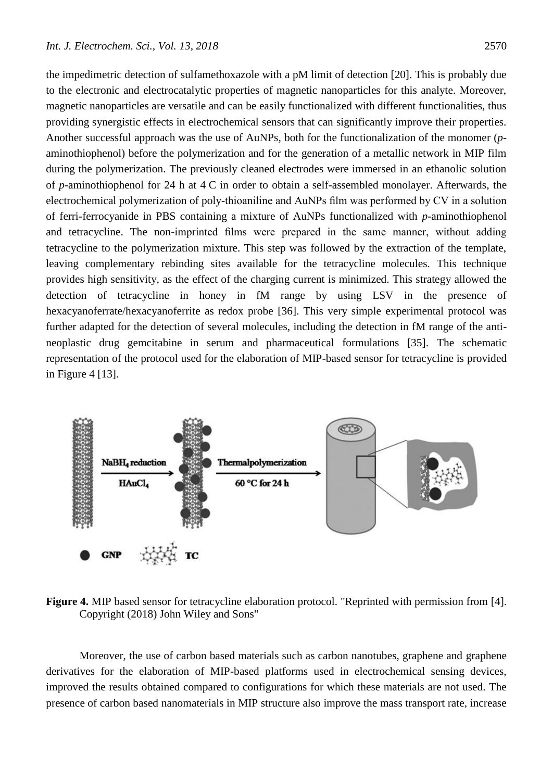the impedimetric detection of sulfamethoxazole with a pM limit of detection [20]. This is probably due to the electronic and electrocatalytic properties of magnetic nanoparticles for this analyte. Moreover, magnetic nanoparticles are versatile and can be easily functionalized with different functionalities, thus providing synergistic effects in electrochemical sensors that can significantly improve their properties. Another successful approach was the use of AuNPs, both for the functionalization of the monomer (*p*aminothiophenol) before the polymerization and for the generation of a metallic network in MIP film during the polymerization. The previously cleaned electrodes were immersed in an ethanolic solution

of *p*-aminothiophenol for 24 h at 4 C in order to obtain a self-assembled monolayer. Afterwards, the electrochemical polymerization of poly-thioaniline and AuNPs film was performed by CV in a solution of ferri-ferrocyanide in PBS containing a mixture of AuNPs functionalized with *p*-aminothiophenol and tetracycline. The non-imprinted films were prepared in the same manner, without adding tetracycline to the polymerization mixture. This step was followed by the extraction of the template, leaving complementary rebinding sites available for the tetracycline molecules. This technique provides high sensitivity, as the effect of the charging current is minimized. This strategy allowed the detection of tetracycline in honey in fM range by using LSV in the presence of hexacyanoferrate/hexacyanoferrite as redox probe [36]. This very simple experimental protocol was further adapted for the detection of several molecules, including the detection in fM range of the antineoplastic drug gemcitabine in serum and pharmaceutical formulations [35]. The schematic representation of the protocol used for the elaboration of MIP-based sensor for tetracycline is provided in Figure 4 [13].



**Figure 4.** MIP based sensor for tetracycline elaboration protocol. "Reprinted with permission from [4]. Copyright (2018) John Wiley and Sons"

Moreover, the use of carbon based materials such as carbon nanotubes, graphene and graphene derivatives for the elaboration of MIP-based platforms used in electrochemical sensing devices, improved the results obtained compared to configurations for which these materials are not used. The presence of carbon based nanomaterials in MIP structure also improve the mass transport rate, increase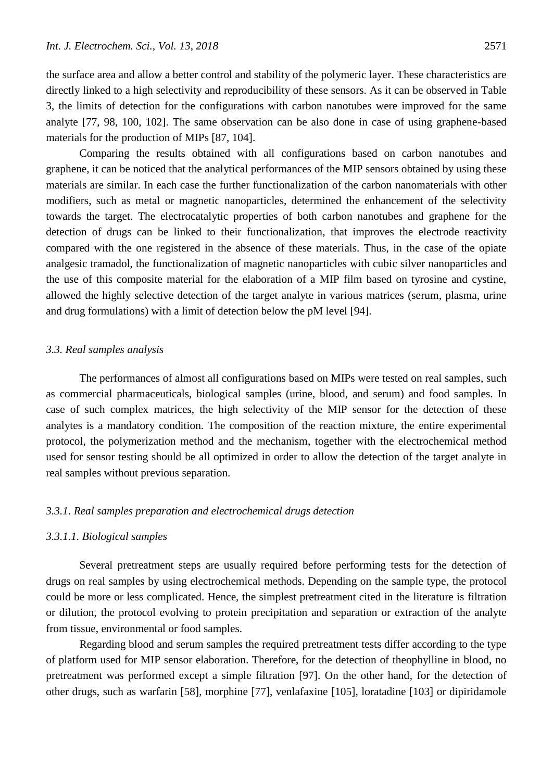the surface area and allow a better control and stability of the polymeric layer. These characteristics are directly linked to a high selectivity and reproducibility of these sensors. As it can be observed in Table 3, the limits of detection for the configurations with carbon nanotubes were improved for the same analyte [77, 98, 100, 102]. The same observation can be also done in case of using graphene-based materials for the production of MIPs [87, 104].

Comparing the results obtained with all configurations based on carbon nanotubes and graphene, it can be noticed that the analytical performances of the MIP sensors obtained by using these materials are similar. In each case the further functionalization of the carbon nanomaterials with other modifiers, such as metal or magnetic nanoparticles, determined the enhancement of the selectivity towards the target. The electrocatalytic properties of both carbon nanotubes and graphene for the detection of drugs can be linked to their functionalization, that improves the electrode reactivity compared with the one registered in the absence of these materials. Thus, in the case of the opiate analgesic tramadol, the functionalization of magnetic nanoparticles with cubic silver nanoparticles and the use of this composite material for the elaboration of a MIP film based on tyrosine and cystine, allowed the highly selective detection of the target analyte in various matrices (serum, plasma, urine and drug formulations) with a limit of detection below the pM level [94].

# *3.3. Real samples analysis*

The performances of almost all configurations based on MIPs were tested on real samples, such as commercial pharmaceuticals, biological samples (urine, blood, and serum) and food samples. In case of such complex matrices, the high selectivity of the MIP sensor for the detection of these analytes is a mandatory condition. The composition of the reaction mixture, the entire experimental protocol, the polymerization method and the mechanism, together with the electrochemical method used for sensor testing should be all optimized in order to allow the detection of the target analyte in real samples without previous separation.

### *3.3.1. Real samples preparation and electrochemical drugs detection*

# *3.3.1.1. Biological samples*

Several pretreatment steps are usually required before performing tests for the detection of drugs on real samples by using electrochemical methods. Depending on the sample type, the protocol could be more or less complicated. Hence, the simplest pretreatment cited in the literature is filtration or dilution, the protocol evolving to protein precipitation and separation or extraction of the analyte from tissue, environmental or food samples.

Regarding blood and serum samples the required pretreatment tests differ according to the type of platform used for MIP sensor elaboration. Therefore, for the detection of theophylline in blood, no pretreatment was performed except a simple filtration [97]. On the other hand, for the detection of other drugs, such as warfarin [58], morphine [77], venlafaxine [105], loratadine [103] or dipiridamole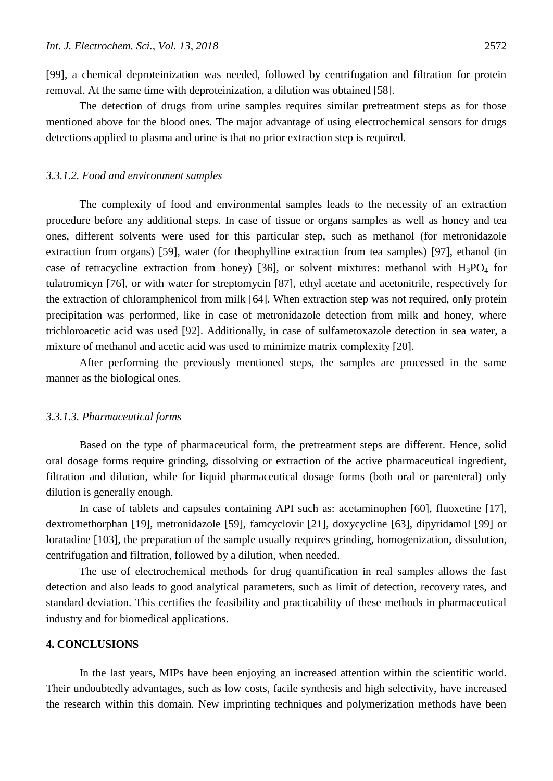[99], a chemical deproteinization was needed, followed by centrifugation and filtration for protein removal. At the same time with deproteinization, a dilution was obtained [58].

The detection of drugs from urine samples requires similar pretreatment steps as for those mentioned above for the blood ones. The major advantage of using electrochemical sensors for drugs detections applied to plasma and urine is that no prior extraction step is required.

### *3.3.1.2. Food and environment samples*

The complexity of food and environmental samples leads to the necessity of an extraction procedure before any additional steps. In case of tissue or organs samples as well as honey and tea ones, different solvents were used for this particular step, such as methanol (for metronidazole extraction from organs) [59], water (for theophylline extraction from tea samples) [97], ethanol (in case of tetracycline extraction from honey) [36], or solvent mixtures: methanol with  $H_3PO_4$  for tulatromicyn [76], or with water for streptomycin [87], ethyl acetate and acetonitrile, respectively for the extraction of chloramphenicol from milk [64]. When extraction step was not required, only protein precipitation was performed, like in case of metronidazole detection from milk and honey, where trichloroacetic acid was used [92]. Additionally, in case of sulfametoxazole detection in sea water, a mixture of methanol and acetic acid was used to minimize matrix complexity [20].

After performing the previously mentioned steps, the samples are processed in the same manner as the biological ones.

### *3.3.1.3. Pharmaceutical forms*

Based on the type of pharmaceutical form, the pretreatment steps are different. Hence, solid oral dosage forms require grinding, dissolving or extraction of the active pharmaceutical ingredient, filtration and dilution, while for liquid pharmaceutical dosage forms (both oral or parenteral) only dilution is generally enough.

In case of tablets and capsules containing API such as: acetaminophen [60], fluoxetine [17], dextromethorphan [19], metronidazole [59], famcyclovir [21], doxycycline [63], dipyridamol [99] or loratadine [103], the preparation of the sample usually requires grinding, homogenization, dissolution, centrifugation and filtration, followed by a dilution, when needed.

The use of electrochemical methods for drug quantification in real samples allows the fast detection and also leads to good analytical parameters, such as limit of detection, recovery rates, and standard deviation. This certifies the feasibility and practicability of these methods in pharmaceutical industry and for biomedical applications.

# **4. CONCLUSIONS**

In the last years, MIPs have been enjoying an increased attention within the scientific world. Their undoubtedly advantages, such as low costs, facile synthesis and high selectivity, have increased the research within this domain. New imprinting techniques and polymerization methods have been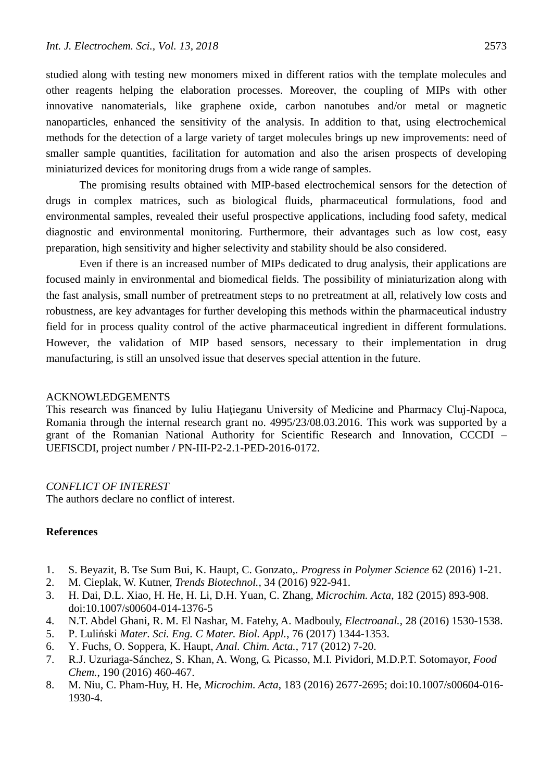studied along with testing new monomers mixed in different ratios with the template molecules and other reagents helping the elaboration processes. Moreover, the coupling of MIPs with other innovative nanomaterials, like graphene oxide, carbon nanotubes and/or metal or magnetic nanoparticles, enhanced the sensitivity of the analysis. In addition to that, using electrochemical methods for the detection of a large variety of target molecules brings up new improvements: need of smaller sample quantities, facilitation for automation and also the arisen prospects of developing miniaturized devices for monitoring drugs from a wide range of samples.

The promising results obtained with MIP-based electrochemical sensors for the detection of drugs in complex matrices, such as biological fluids, pharmaceutical formulations, food and environmental samples, revealed their useful prospective applications, including food safety, medical diagnostic and environmental monitoring. Furthermore, their advantages such as low cost, easy preparation, high sensitivity and higher selectivity and stability should be also considered.

Even if there is an increased number of MIPs dedicated to drug analysis, their applications are focused mainly in environmental and biomedical fields. The possibility of miniaturization along with the fast analysis, small number of pretreatment steps to no pretreatment at all, relatively low costs and robustness, are key advantages for further developing this methods within the pharmaceutical industry field for in process quality control of the active pharmaceutical ingredient in different formulations. However, the validation of MIP based sensors, necessary to their implementation in drug manufacturing, is still an unsolved issue that deserves special attention in the future.

## ACKNOWLEDGEMENTS

This research was financed by Iuliu Hațieganu University of Medicine and Pharmacy Cluj-Napoca, Romania through the internal research grant no. 4995/23/08.03.2016. This work was supported by a grant of the Romanian National Authority for Scientific Research and Innovation, CCCDI – UEFISCDI, project number **/** PN-III-P2-2.1-PED-2016-0172.

### *CONFLICT OF INTEREST*

The authors declare no conflict of interest.

# **References**

- 1. S. Beyazit, B. Tse Sum Bui, K. Haupt, C. Gonzato,. *Progress in Polymer Science* 62 (2016) 1-21.
- 2. M. Cieplak, W. Kutner, *Trends Biotechnol.,* 34 (2016) 922-941.
- 3. H. Dai, D.L. Xiao, H. He, H. Li, D.H. Yuan, C. Zhang, *Microchim. Acta*, 182 (2015) 893-908. doi:10.1007/s00604-014-1376-5
- 4. N.T. Abdel Ghani, R. M. El Nashar, M. Fatehy, A. Madbouly, *Electroanal.*, 28 (2016) 1530-1538.
- 5. P. Luliński *Mater. Sci. Eng. C Mater. Biol. Appl.*, 76 (2017) 1344-1353.
- 6. Y. Fuchs, O. Soppera, K. Haupt, *Anal. Chim. Acta.*, 717 (2012) 7-20.
- 7. R.J. Uzuriaga-Sánchez, S. Khan, A. Wong, G. Picasso, M.I. Pividori, M.D.P.T. Sotomayor, *Food Chem.*, 190 (2016) 460-467.
- 8. M. Niu, C. Pham-Huy, H. He, *Microchim. Acta*, 183 (2016) 2677-2695; doi:10.1007/s00604-016- 1930-4.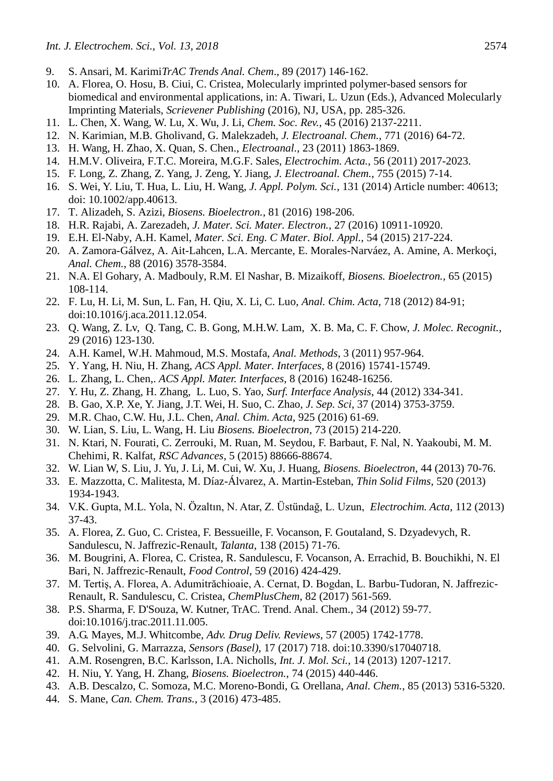- 9. S. Ansari, M. Karimi*TrAC Trends Anal. Chem*., 89 (2017) 146-162.
- 10. A. Florea, O. Hosu, B. Ciui, C. Cristea, Molecularly imprinted polymer-based sensors for biomedical and environmental applications, in: A. Tiwari, L. Uzun (Eds.), Advanced Molecularly Imprinting Materials, *Scrievener Publishing* (2016), NJ, USA, pp. 285-326.
- 11. L. Chen, X. Wang, W. Lu, X. Wu, J. Li, *Chem. Soc. Rev.*, 45 (2016) 2137-2211.
- 12. N. Karimian, M.B. Gholivand, G. Malekzadeh, *J. Electroanal. Chem.*, 771 (2016) 64-72.
- 13. H. Wang, H. Zhao, X. Quan, S. Chen., *Electroanal.*, 23 (2011) 1863-1869.
- 14. H.M.V. Oliveira, F.T.C. Moreira, M.G.F. Sales, *Electrochim. Acta.*, 56 (2011) 2017-2023.
- 15. F. Long, Z. Zhang, Z. Yang, J. Zeng, Y. Jiang, *J. Electroanal. Chem.*, 755 (2015) 7-14.
- 16. S. Wei, Y. Liu, T. Hua, L. Liu, H. Wang, *J. Appl. Polym. Sci.*, 131 (2014) Article number: 40613; doi: 10.1002/app.40613.
- 17. T. Alizadeh, S. Azizi, *Biosens. Bioelectron.*, 81 (2016) 198-206.
- 18. H.R. Rajabi, A. Zarezadeh, *J. Mater. Sci. Mater. Electron.*, 27 (2016) 10911-10920.
- 19. E.H. El-Naby, A.H. Kamel, *Mater. Sci. Eng. C Mater. Biol. Appl.*, 54 (2015) 217-224.
- 20. A. Zamora-Gálvez, A. Ait-Lahcen, L.A. Mercante, E. Morales-Narváez, A. Amine, A. Merkoçi, *Anal. Chem.*, 88 (2016) 3578-3584.
- 21. N.A. El Gohary, A. Madbouly, R.M. El Nashar, B. Mizaikoff, *Biosens. Bioelectron.*, 65 (2015) 108-114.
- 22. F. Lu, H. Li, M. Sun, L. Fan, H. Qiu, X. Li, C. Luo, *Anal. Chim. Acta*, 718 (2012) 84-91; doi:10.1016/j.aca.2011.12.054.
- 23. Q. Wang, Z. Lv, Q. Tang, C. B. Gong, M.H.W. Lam, X. B. Ma, C. F. Chow, *J. Molec. Recognit.*, 29 (2016) 123-130.
- 24. A.H. Kamel, W.H. Mahmoud, M.S. Mostafa, *Anal. Methods*, 3 (2011) 957-964.
- 25. Y. Yang, H. Niu, H. Zhang, *ACS Appl. Mater. Interfaces*, 8 (2016) 15741-15749.
- 26. L. Zhang, L. Chen,. *ACS Appl. Mater. Interfaces*, 8 (2016) 16248-16256.
- 27. Y. Hu, Z. Zhang, H. Zhang, L. Luo, S. Yao, *Surf. Interface Analysis*, 44 (2012) 334-341.
- 28. B. Gao, X.P. Xe, Y. Jiang, J.T. Wei, H. Suo, C. Zhao, *J. Sep. Sci*, 37 (2014) 3753-3759.
- 29. M.R. Chao, C.W. Hu, J.L. Chen, *Anal. Chim. Acta*, 925 (2016) 61-69.
- 30. W. Lian, S. Liu, L. Wang, H. Liu *Biosens. Bioelectron*, 73 (2015) 214-220.
- 31. N. Ktari, N. Fourati, C. Zerrouki, M. Ruan, M. Seydou, F. Barbaut, F. Nal, N. Yaakoubi, M. M. Chehimi, R. Kalfat, *RSC Advances*, 5 (2015) 88666-88674.
- 32. W. Lian W, S. Liu, J. Yu, J. Li, M. Cui, W. Xu, J. Huang, *Biosens. Bioelectron*, 44 (2013) 70-76.
- 33. E. Mazzotta, C. Malitesta, M. Díaz-Álvarez, A. Martin-Esteban, *Thin Solid Films*, 520 (2013) 1934-1943.
- 34. V.K. Gupta, M.L. Yola, N. Özaltın, N. Atar, Z. Üstündağ, L. Uzun, *Electrochim. Acta*, 112 (2013) 37-43.
- 35. A. Florea, Z. Guo, C. Cristea, F. Bessueille, F. Vocanson, F. Goutaland, S. Dzyadevych, R. Sandulescu, N. Jaffrezic-Renault, *Talanta*, 138 (2015) 71-76.
- 36. M. Bougrini, A. Florea, C. Cristea, R. Sandulescu, F. Vocanson, A. Errachid, B. Bouchikhi, N. El Bari, N. Jaffrezic-Renault, *Food Control*, 59 (2016) 424-429.
- 37. M. Tertiş, A. Florea, A. Adumitrăchioaie, A. Cernat, D. Bogdan, L. Barbu-Tudoran, N. Jaffrezic-Renault, R. Sandulescu, C. Cristea, *ChemPlusChem*, 82 (2017) 561-569.
- 38. P.S. Sharma, F. D'Souza, W. Kutner, TrAC. Trend. Anal. Chem., 34 (2012) 59-77. doi:10.1016/j.trac.2011.11.005.
- 39. A.G. Mayes, M.J. Whitcombe, *Adv. Drug Deliv. Reviews*, 57 (2005) 1742-1778.
- 40. G. Selvolini, G. Marrazza, *Sensors (Basel)*, 17 (2017) 718. doi:10.3390/s17040718.
- 41. A.M. Rosengren, B.C. Karlsson, I.A. Nicholls, *Int. J. Mol. Sci.*, 14 (2013) 1207-1217.
- 42. H. Niu, Y. Yang, H. Zhang, *Biosens. Bioelectron.*, 74 (2015) 440-446.
- 43. A.B. Descalzo, C. Somoza, M.C. Moreno-Bondi, G. Orellana, *Anal. Chem.*, 85 (2013) 5316-5320.
- 44. S. Mane, *Can. Chem. Trans.*, 3 (2016) 473-485.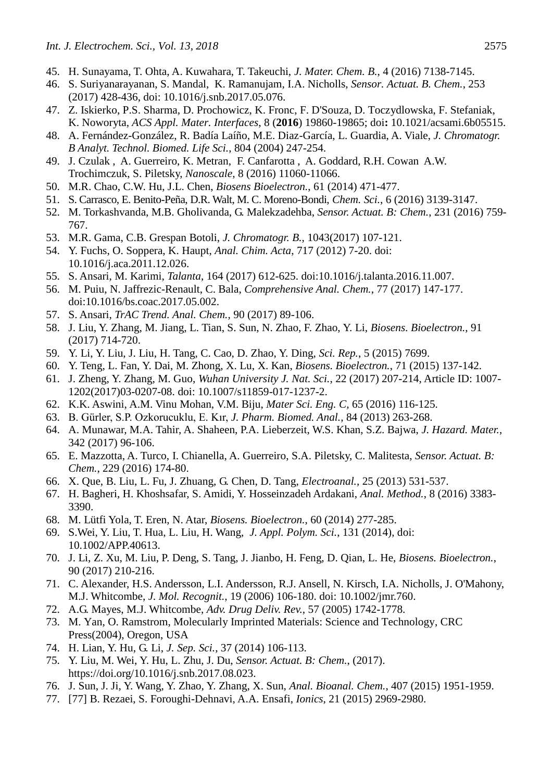- 45. H. Sunayama, T. Ohta, A. Kuwahara, T. Takeuchi, *J. Mater. Chem. B.*, 4 (2016) 7138-7145.
- 46. S. Suriyanarayanan, S. Mandal, K. Ramanujam, I.A. Nicholls, *Sensor. Actuat. B. Chem.*, 253 (2017) 428-436, doi: 10.1016/j.snb.2017.05.076.
- 47. Z. Iskierko, P.S. Sharma, D. Prochowicz, K. Fronc, F. D'Souza, D. Toczydlowska, F. Stefaniak, K. Noworyta, *ACS Appl. Mater. Interfaces*, 8 (**2016**) 19860-19865; doi**:** 10.1021/acsami.6b05515.
- 48. A. Fernández-González, R. Badía Laíño, M.E. Diaz-García, L. Guardia, A. Viale, *J. Chromatogr. B Analyt. Technol. Biomed. Life Sci.*, 804 (2004) 247-254.
- 49. J. Czulak , A. Guerreiro, K. Metran, F. Canfarotta , A. Goddard, R.H. Cowan A.W. Trochimczuk, S. Piletsky, *Nanoscale*, 8 (2016) 11060-11066.
- 50. M.R. Chao, C.W. Hu, J.L. Chen, *Biosens Bioelectron.*, 61 (2014) 471-477.
- 51. S. Carrasco, E. Benito-Peña, D.R. Walt, M. C. Moreno-Bondi, *Chem. Sci.*, 6 (2016) 3139-3147.
- 52. M. Torkashvanda, M.B. Gholivanda, G. Malekzadehba, *Sensor. Actuat. B: Chem.*, 231 (2016) 759- 767.
- 53. M.R. Gama, C.B. Grespan Botoli, *J. Chromatogr. B.*, 1043(2017) 107-121.
- 54. Y. Fuchs, O. Soppera, K. Haupt, *Anal. Chim. Acta*, 717 (2012) 7-20. doi: 10.1016/j.aca.2011.12.026.
- 55. S. Ansari, M. Karimi, *Talanta*, 164 (2017) 612-625. doi:10.1016/j.talanta.2016.11.007.
- 56. M. Puiu, N. Jaffrezic-Renault, C. Bala, *Comprehensive Anal. Chem.*, 77 (2017) 147-177. doi:10.1016/bs.coac.2017.05.002.
- 57. S. Ansari, *TrAC Trend. Anal. Chem.*, 90 (2017) 89-106.
- 58. J. Liu, Y. Zhang, M. Jiang, L. Tian, S. Sun, N. Zhao, F. Zhao, Y. Li, *Biosens. Bioelectron.*, 91 (2017) 714-720.
- 59. Y. Li, Y. Liu, J. Liu, H. Tang, C. Cao, D. Zhao, Y. Ding, *Sci. Rep.*, 5 (2015) 7699.
- 60. Y. Teng, L. Fan, Y. Dai, M. Zhong, X. Lu, X. Kan, *Biosens. Bioelectron.*, 71 (2015) 137-142.
- 61. J. Zheng, Y. Zhang, M. Guo, *Wuhan University J. Nat. Sci.*, 22 (2017) 207-214, Article ID: 1007- 1202(2017)03-0207-08. doi: 10.1007/s11859-017-1237-2.
- 62. K.K. Aswini, A.M. Vinu Mohan, V.M. Biju, *Mater Sci. Eng. C,* 65 (2016) 116-125.
- 63. B. Gürler, S.P. Ozkorucuklu, E. Kır, *J. Pharm. Biomed. Anal.*, 84 (2013) 263-268.
- 64. A. Munawar, M.A. Tahir, A. Shaheen, P.A. Lieberzeit, W.S. Khan, S.Z. Bajwa, *J. Hazard. Mater.*, 342 (2017) 96-106.
- 65. E. Mazzotta, A. Turco, I. Chianella, A. Guerreiro, S.A. Piletsky, C. Malitesta, *Sensor. Actuat. B: Chem.*, 229 (2016) 174-80.
- 66. X. Que, B. Liu, L. Fu, J. Zhuang, G. Chen, D. Tang, *Electroanal.*, 25 (2013) 531-537.
- 67. H. Bagheri, H. Khoshsafar, S. Amidi, Y. Hosseinzadeh Ardakani, *Anal. Method.*, 8 (2016) 3383- 3390.
- 68. M. Lütfi Yola, T. Eren, N. Atar, *Biosens. Bioelectron.*, 60 (2014) 277-285.
- 69. S.Wei, Y. Liu, T. Hua, L. Liu, H. Wang, *J. Appl. Polym. Sci.*, 131 (2014), doi: 10.1002/APP.40613.
- 70. J. Li, Z. Xu, M. Liu, P. Deng, S. Tang, J. Jianbo, H. Feng, D. Qian, L. He, *Biosens. Bioelectron.*, 90 (2017) 210-216.
- 71. C. Alexander, H.S. Andersson, L.I. Andersson, R.J. Ansell, N. Kirsch, I.A. Nicholls, J. O'Mahony, M.J. Whitcombe, *J. Mol. Recognit.*, 19 (2006) 106-180. doi: 10.1002/jmr.760.
- 72. A.G. Mayes, M.J. Whitcombe, *Adv. Drug Deliv. Rev.*, 57 (2005) 1742-1778.
- 73. M. Yan, O. Ramstrom, Molecularly Imprinted Materials: Science and Technology, CRC Press(2004), Oregon, USA
- 74. H. Lian, Y. Hu, G. Li, *J. Sep. Sci.*, 37 (2014) 106-113.
- 75. Y. Liu, M. Wei, Y. Hu, L. Zhu, J. Du, *Sensor. Actuat. B: Chem.*, (2017). https://doi.org/10.1016/j.snb.2017.08.023.
- 76. J. Sun, J. Ji, Y. Wang, Y. Zhao, Y. Zhang, X. Sun, *Anal. Bioanal. Chem.*, 407 (2015) 1951-1959.
- 77. [77] B. Rezaei, S. Foroughi-Dehnavi, A.A. Ensafi, *Ionics*, 21 (2015) 2969-2980.